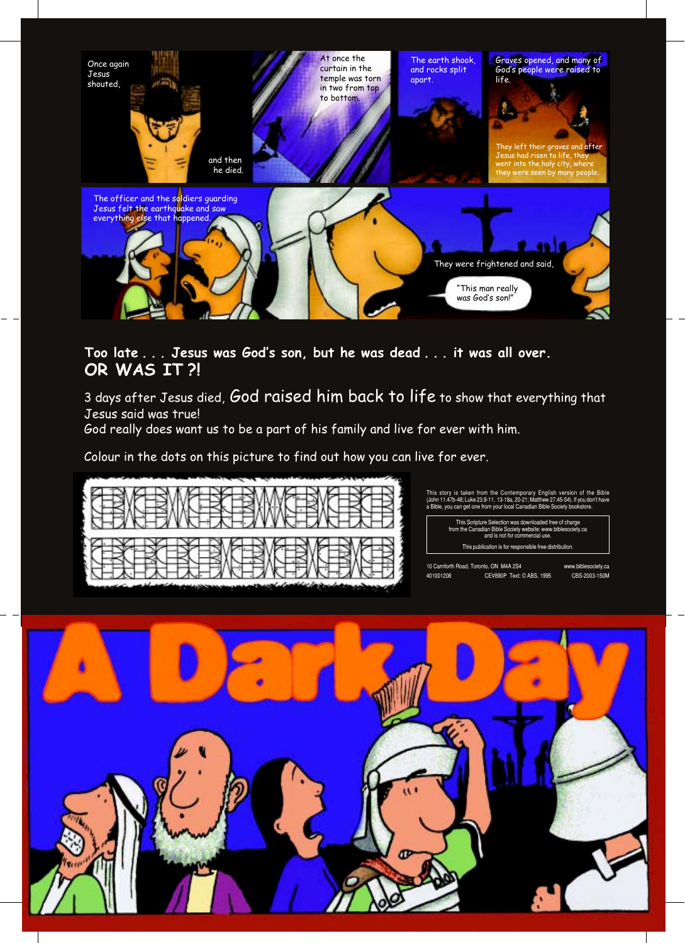

## Too late . . . Jesus was God's son, but he was dead . . . it was all over. OR WAS IT ?!

3 days after Jesus died, God raised him back to life to show that everything that Jesus said was true!

God really does want us to be a part of his family and live for ever with him.

Colour in the dots on this picture to find out how you can live for ever.



This story is taken from the Contemporary English version of the Bible (John 11.47b-48; Luke 23.9-11, 13-18a, 20-21; Matthew 27.45-54). If you don't have a Bible, you can get one from your local Canadian Bible Society book

This Scripture Selection was downloaded free of charge<br>from the Canadian Bible Society website: www.biblesociety.ca<br>and is not for commercial use. This publication is for responsible free distribution.

10 Carnforth Road, Toronto, ON M4A 2S4 www.biblesociety.ca 401001208 CEV890P Text: © ABS, 1995 CBS-2003-150M